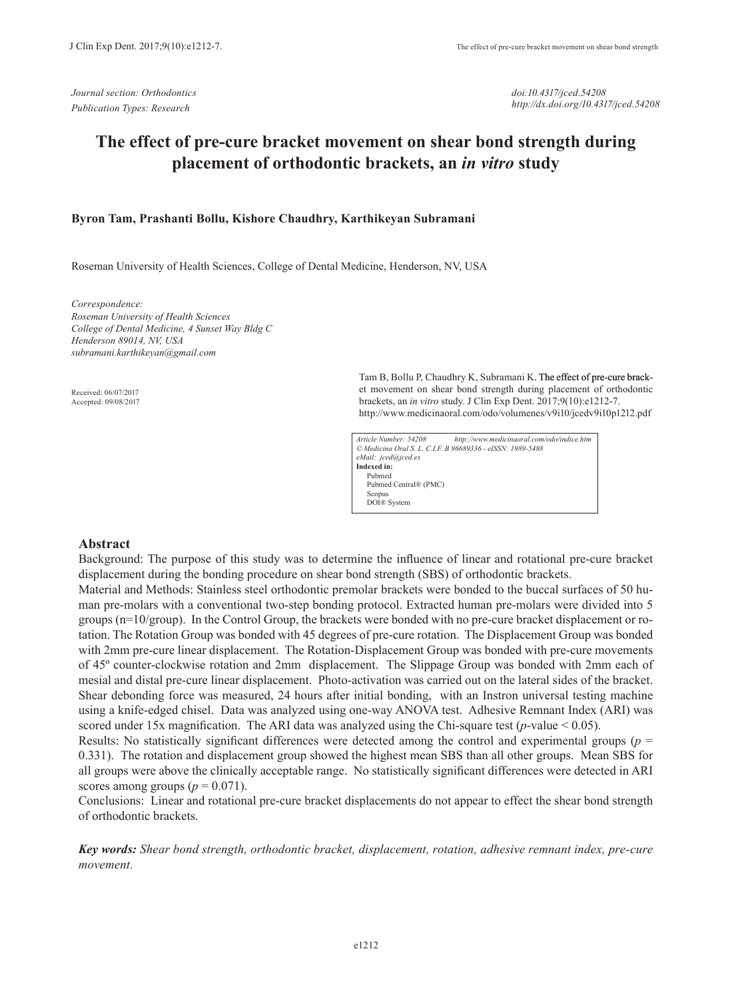*doi:10.4317/jced.54208 http://dx.doi.org/10.4317/jced.54208*

# **The effect of pre-cure bracket movement on shear bond strength during placement of orthodontic brackets, an** *in vitro* **study**

#### **Byron Tam, Prashanti Bollu, Kishore Chaudhry, Karthikeyan Subramani**

Roseman University of Health Sciences, College of Dental Medicine, Henderson, NV, USA

*Correspondence: Roseman University of Health Sciences College of Dental Medicine, 4 Sunset Way Bldg C Henderson 89014, NV, USA subramani.karthikeyan@gmail.com*

Received: 06/07/2017 Accepted: 09/08/2017

Tam B, Bollu P, Chaudhry K, Subramani K. The effect of pre-cure bracket movement on shear bond strength during placement of orthodontic brackets, an *in vitro* study. J Clin Exp Dent. 2017;9(10):e1212-7. http://www.medicinaoral.com/odo/volumenes/v9i10/jcedv9i10p1212.pdf

| Article Number: 54208                                      | http://www.medicinaoral.com/odo/indice.htm |  |  |  |  |  |  |
|------------------------------------------------------------|--------------------------------------------|--|--|--|--|--|--|
| © Medicina Oral S. L. C.I.F. B 96689336 - eISSN: 1989-5488 |                                            |  |  |  |  |  |  |
| eMail: jced@jced.es                                        |                                            |  |  |  |  |  |  |
| Indexed in:                                                |                                            |  |  |  |  |  |  |
| Pubmed                                                     |                                            |  |  |  |  |  |  |
| Pubmed Central® (PMC)                                      |                                            |  |  |  |  |  |  |
| Scopus                                                     |                                            |  |  |  |  |  |  |
| DOI® System                                                |                                            |  |  |  |  |  |  |

#### **Abstract**

Background: The purpose of this study was to determine the influence of linear and rotational pre-cure bracket displacement during the bonding procedure on shear bond strength (SBS) of orthodontic brackets.

Material and Methods: Stainless steel orthodontic premolar brackets were bonded to the buccal surfaces of 50 human pre-molars with a conventional two-step bonding protocol. Extracted human pre-molars were divided into 5 groups (n=10/group). In the Control Group, the brackets were bonded with no pre-cure bracket displacement or rotation. The Rotation Group was bonded with 45 degrees of pre-cure rotation. The Displacement Group was bonded with 2mm pre-cure linear displacement. The Rotation-Displacement Group was bonded with pre-cure movements of 45º counter-clockwise rotation and 2mm displacement. The Slippage Group was bonded with 2mm each of mesial and distal pre-cure linear displacement. Photo-activation was carried out on the lateral sides of the bracket. Shear debonding force was measured, 24 hours after initial bonding, with an Instron universal testing machine using a knife-edged chisel. Data was analyzed using one-way ANOVA test. Adhesive Remnant Index (ARI) was scored under 15x magnification. The ARI data was analyzed using the Chi-square test ( $p$ -value  $< 0.05$ ).

Results: No statistically significant differences were detected among the control and experimental groups (*p* = 0.331). The rotation and displacement group showed the highest mean SBS than all other groups. Mean SBS for all groups were above the clinically acceptable range. No statistically significant differences were detected in ARI scores among groups  $(p = 0.071)$ .

Conclusions: Linear and rotational pre-cure bracket displacements do not appear to effect the shear bond strength of orthodontic brackets.

*Key words: Shear bond strength, orthodontic bracket, displacement, rotation, adhesive remnant index, pre-cure movement.*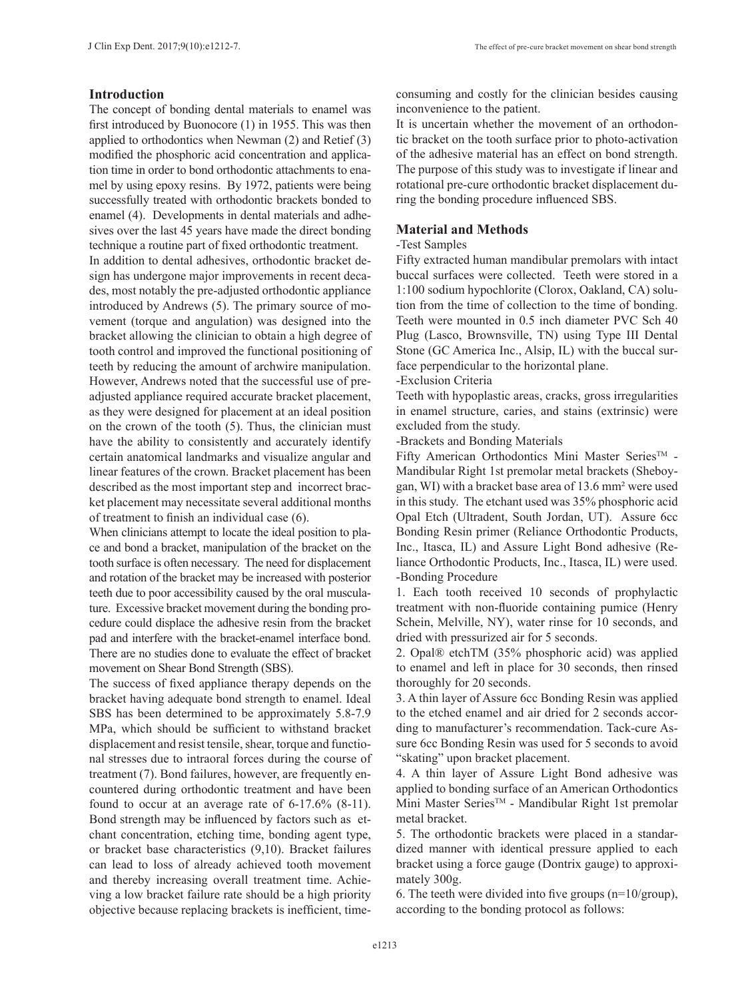### **Introduction**

The concept of bonding dental materials to enamel was first introduced by Buonocore (1) in 1955. This was then applied to orthodontics when Newman (2) and Retief (3) modified the phosphoric acid concentration and application time in order to bond orthodontic attachments to enamel by using epoxy resins. By 1972, patients were being successfully treated with orthodontic brackets bonded to enamel (4). Developments in dental materials and adhesives over the last 45 years have made the direct bonding technique a routine part of fixed orthodontic treatment.

In addition to dental adhesives, orthodontic bracket design has undergone major improvements in recent decades, most notably the pre-adjusted orthodontic appliance introduced by Andrews (5). The primary source of movement (torque and angulation) was designed into the bracket allowing the clinician to obtain a high degree of tooth control and improved the functional positioning of teeth by reducing the amount of archwire manipulation. However, Andrews noted that the successful use of preadjusted appliance required accurate bracket placement, as they were designed for placement at an ideal position on the crown of the tooth (5). Thus, the clinician must have the ability to consistently and accurately identify certain anatomical landmarks and visualize angular and linear features of the crown. Bracket placement has been described as the most important step and incorrect bracket placement may necessitate several additional months of treatment to finish an individual case (6).

When clinicians attempt to locate the ideal position to place and bond a bracket, manipulation of the bracket on the tooth surface is often necessary. The need for displacement and rotation of the bracket may be increased with posterior teeth due to poor accessibility caused by the oral musculature. Excessive bracket movement during the bonding procedure could displace the adhesive resin from the bracket pad and interfere with the bracket-enamel interface bond. There are no studies done to evaluate the effect of bracket movement on Shear Bond Strength (SBS).

The success of fixed appliance therapy depends on the bracket having adequate bond strength to enamel. Ideal SBS has been determined to be approximately 5.8-7.9 MPa, which should be sufficient to withstand bracket displacement and resist tensile, shear, torque and functional stresses due to intraoral forces during the course of treatment (7). Bond failures, however, are frequently encountered during orthodontic treatment and have been found to occur at an average rate of 6-17.6% (8-11). Bond strength may be influenced by factors such as etchant concentration, etching time, bonding agent type, or bracket base characteristics (9,10). Bracket failures can lead to loss of already achieved tooth movement and thereby increasing overall treatment time. Achieving a low bracket failure rate should be a high priority objective because replacing brackets is inefficient, timeconsuming and costly for the clinician besides causing inconvenience to the patient.

It is uncertain whether the movement of an orthodontic bracket on the tooth surface prior to photo-activation of the adhesive material has an effect on bond strength. The purpose of this study was to investigate if linear and rotational pre-cure orthodontic bracket displacement during the bonding procedure influenced SBS.

### **Material and Methods**

#### -Test Samples

Fifty extracted human mandibular premolars with intact buccal surfaces were collected. Teeth were stored in a 1:100 sodium hypochlorite (Clorox, Oakland, CA) solution from the time of collection to the time of bonding. Teeth were mounted in 0.5 inch diameter PVC Sch 40 Plug (Lasco, Brownsville, TN) using Type III Dental Stone (GC America Inc., Alsip, IL) with the buccal surface perpendicular to the horizontal plane.

#### -Exclusion Criteria

Teeth with hypoplastic areas, cracks, gross irregularities in enamel structure, caries, and stains (extrinsic) were excluded from the study.

-Brackets and Bonding Materials

Fifty American Orthodontics Mini Master Series™ -Mandibular Right 1st premolar metal brackets (Sheboygan, WI) with a bracket base area of 13.6 mm² were used in this study. The etchant used was 35% phosphoric acid Opal Etch (Ultradent, South Jordan, UT). Assure 6cc Bonding Resin primer (Reliance Orthodontic Products, Inc., Itasca, IL) and Assure Light Bond adhesive (Reliance Orthodontic Products, Inc., Itasca, IL) were used. -Bonding Procedure

1. Each tooth received 10 seconds of prophylactic treatment with non-fluoride containing pumice (Henry Schein, Melville, NY), water rinse for 10 seconds, and dried with pressurized air for 5 seconds.

2. Opal® etchTM (35% phosphoric acid) was applied to enamel and left in place for 30 seconds, then rinsed thoroughly for 20 seconds.

3. A thin layer of Assure 6cc Bonding Resin was applied to the etched enamel and air dried for 2 seconds according to manufacturer's recommendation. Tack-cure Assure 6cc Bonding Resin was used for 5 seconds to avoid "skating" upon bracket placement.

4. A thin layer of Assure Light Bond adhesive was applied to bonding surface of an American Orthodontics Mini Master SeriesTM - Mandibular Right 1st premolar metal bracket.

5. The orthodontic brackets were placed in a standardized manner with identical pressure applied to each bracket using a force gauge (Dontrix gauge) to approximately 300g.

6. The teeth were divided into five groups  $(n=10/\text{group})$ , according to the bonding protocol as follows: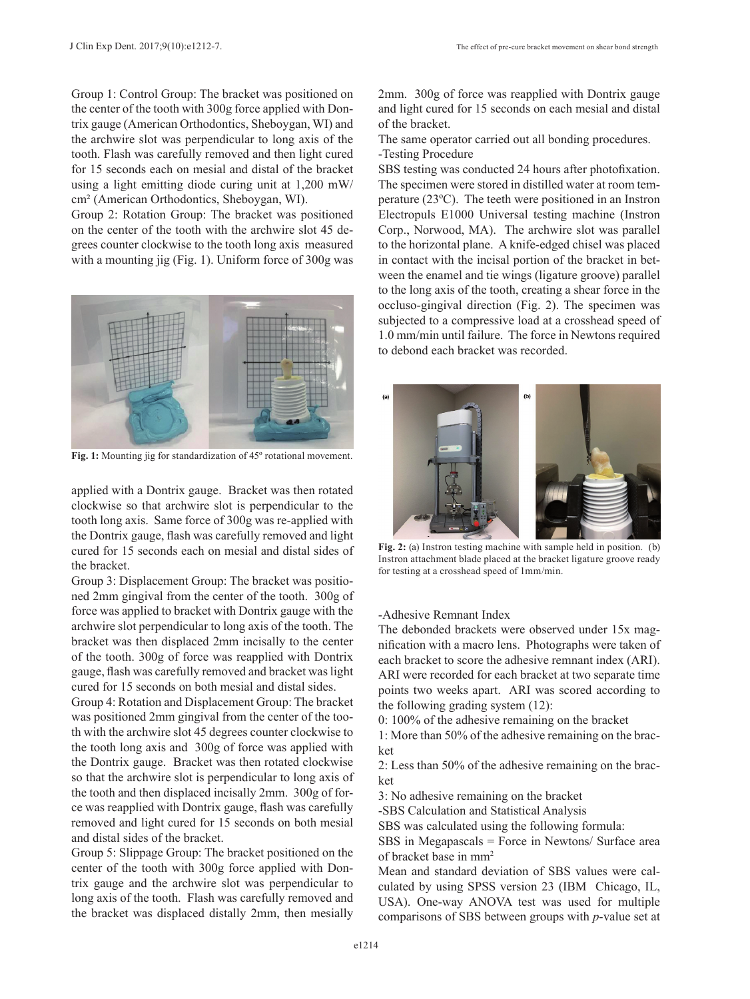Group 1: Control Group: The bracket was positioned on the center of the tooth with 300g force applied with Dontrix gauge (American Orthodontics, Sheboygan, WI) and the archwire slot was perpendicular to long axis of the tooth. Flash was carefully removed and then light cured for 15 seconds each on mesial and distal of the bracket using a light emitting diode curing unit at 1,200 mW/ cm² (American Orthodontics, Sheboygan, WI).

Group 2: Rotation Group: The bracket was positioned on the center of the tooth with the archwire slot 45 degrees counter clockwise to the tooth long axis measured with a mounting jig (Fig. 1). Uniform force of 300g was



**Fig. 1:** Mounting jig for standardization of 45º rotational movement.

applied with a Dontrix gauge. Bracket was then rotated clockwise so that archwire slot is perpendicular to the tooth long axis. Same force of 300g was re-applied with the Dontrix gauge, flash was carefully removed and light cured for 15 seconds each on mesial and distal sides of the bracket.

Group 3: Displacement Group: The bracket was positioned 2mm gingival from the center of the tooth. 300g of force was applied to bracket with Dontrix gauge with the archwire slot perpendicular to long axis of the tooth. The bracket was then displaced 2mm incisally to the center of the tooth. 300g of force was reapplied with Dontrix gauge, flash was carefully removed and bracket was light cured for 15 seconds on both mesial and distal sides.

Group 4: Rotation and Displacement Group: The bracket was positioned 2mm gingival from the center of the tooth with the archwire slot 45 degrees counter clockwise to the tooth long axis and 300g of force was applied with the Dontrix gauge. Bracket was then rotated clockwise so that the archwire slot is perpendicular to long axis of the tooth and then displaced incisally 2mm. 300g of force was reapplied with Dontrix gauge, flash was carefully removed and light cured for 15 seconds on both mesial and distal sides of the bracket.

Group 5: Slippage Group: The bracket positioned on the center of the tooth with 300g force applied with Dontrix gauge and the archwire slot was perpendicular to long axis of the tooth. Flash was carefully removed and the bracket was displaced distally 2mm, then mesially

2mm. 300g of force was reapplied with Dontrix gauge and light cured for 15 seconds on each mesial and distal of the bracket.

The same operator carried out all bonding procedures. -Testing Procedure

SBS testing was conducted 24 hours after photofixation. The specimen were stored in distilled water at room temperature (23ºC). The teeth were positioned in an Instron Electropuls E1000 Universal testing machine (Instron Corp., Norwood, MA). The archwire slot was parallel to the horizontal plane. A knife-edged chisel was placed in contact with the incisal portion of the bracket in between the enamel and tie wings (ligature groove) parallel to the long axis of the tooth, creating a shear force in the occluso-gingival direction (Fig. 2). The specimen was subjected to a compressive load at a crosshead speed of 1.0 mm/min until failure. The force in Newtons required to debond each bracket was recorded.



**Fig. 2:** (a) Instron testing machine with sample held in position. (b) Instron attachment blade placed at the bracket ligature groove ready for testing at a crosshead speed of 1mm/min.

-Adhesive Remnant Index

The debonded brackets were observed under 15x magnification with a macro lens. Photographs were taken of each bracket to score the adhesive remnant index (ARI). ARI were recorded for each bracket at two separate time points two weeks apart. ARI was scored according to the following grading system (12):

0: 100% of the adhesive remaining on the bracket

1: More than 50% of the adhesive remaining on the bracket

2: Less than 50% of the adhesive remaining on the bracket

3: No adhesive remaining on the bracket

-SBS Calculation and Statistical Analysis

SBS was calculated using the following formula:

SBS in Megapascals = Force in Newtons/ Surface area of bracket base in mm2

Mean and standard deviation of SBS values were calculated by using SPSS version 23 (IBM Chicago, IL, USA). One-way ANOVA test was used for multiple comparisons of SBS between groups with *p*-value set at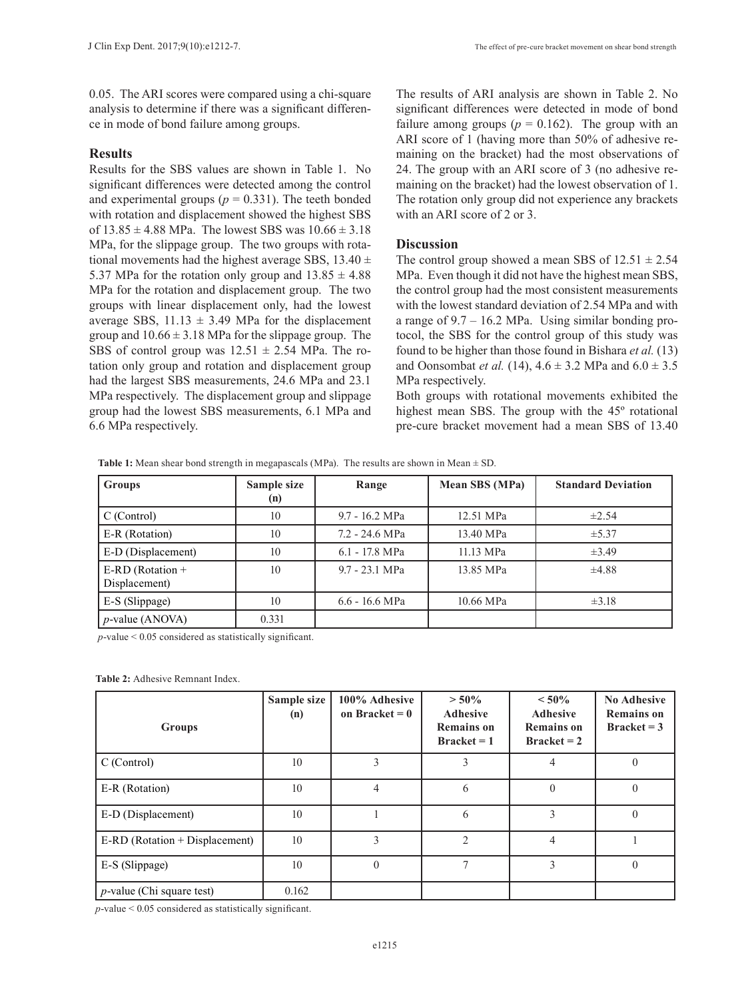0.05. The ARI scores were compared using a chi-square analysis to determine if there was a significant difference in mode of bond failure among groups.

## **Results**

Results for the SBS values are shown in Table 1. No significant differences were detected among the control and experimental groups ( $p = 0.331$ ). The teeth bonded with rotation and displacement showed the highest SBS of  $13.85 \pm 4.88$  MPa. The lowest SBS was  $10.66 \pm 3.18$ MPa, for the slippage group. The two groups with rotational movements had the highest average SBS,  $13.40 \pm$ 5.37 MPa for the rotation only group and  $13.85 \pm 4.88$ MPa for the rotation and displacement group. The two groups with linear displacement only, had the lowest average SBS,  $11.13 \pm 3.49$  MPa for the displacement group and  $10.66 \pm 3.18$  MPa for the slippage group. The SBS of control group was  $12.51 \pm 2.54$  MPa. The rotation only group and rotation and displacement group had the largest SBS measurements, 24.6 MPa and 23.1 MPa respectively. The displacement group and slippage group had the lowest SBS measurements, 6.1 MPa and 6.6 MPa respectively.

The results of ARI analysis are shown in Table 2. No significant differences were detected in mode of bond failure among groups ( $p = 0.162$ ). The group with an ARI score of 1 (having more than 50% of adhesive remaining on the bracket) had the most observations of 24. The group with an ARI score of 3 (no adhesive remaining on the bracket) had the lowest observation of 1. The rotation only group did not experience any brackets with an ARI score of 2 or 3.

## **Discussion**

The control group showed a mean SBS of  $12.51 \pm 2.54$ MPa. Even though it did not have the highest mean SBS, the control group had the most consistent measurements with the lowest standard deviation of 2.54 MPa and with a range of 9.7 – 16.2 MPa. Using similar bonding protocol, the SBS for the control group of this study was found to be higher than those found in Bishara *et al.* (13) and Oonsombat *et al.* (14),  $4.6 \pm 3.2$  MPa and  $6.0 \pm 3.5$ MPa respectively.

Both groups with rotational movements exhibited the highest mean SBS. The group with the 45º rotational pre-cure bracket movement had a mean SBS of 13.40

| <b>Groups</b>                       | Sample size<br>(n) | Range            | Mean SBS (MPa) | <b>Standard Deviation</b> |
|-------------------------------------|--------------------|------------------|----------------|---------------------------|
| C (Control)                         | 10                 | 9.7 - 16.2 MPa   | 12.51 MPa      | $\pm 2.54$                |
| E-R (Rotation)                      | 10                 | 7.2 - 24.6 MPa   | 13.40 MPa      | ±5.37                     |
| E-D (Displacement)                  | 10                 | $6.1 - 17.8$ MPa | 11.13 MPa      | $\pm 3.49$                |
| E-RD (Rotation $+$<br>Displacement) | 10                 | 9.7 - 23.1 MPa   | 13.85 MPa      | $\pm 4.88$                |
| E-S (Slippage)                      | 10                 | $6.6 - 16.6$ MPa | 10.66 MPa      | $\pm 3.18$                |
| $p$ -value (ANOVA)                  | 0.331              |                  |                |                           |

**Table 1:** Mean shear bond strength in megapascals (MPa). The results are shown in Mean  $\pm$  SD.

*p*-value < 0.05 considered as statistically significant.

**Table 2:** Adhesive Remnant Index.

| <b>Groups</b>                  | Sample size<br>(n) | 100% Adhesive<br>on Bracket = $0$ | $> 50\%$<br><b>Adhesive</b><br><b>Remains on</b><br>$Bracket = 1$ | $< 50\%$<br><b>Adhesive</b><br><b>Remains on</b><br>$Bracket = 2$ | <b>No Adhesive</b><br><b>Remains on</b><br>$Bracket = 3$ |
|--------------------------------|--------------------|-----------------------------------|-------------------------------------------------------------------|-------------------------------------------------------------------|----------------------------------------------------------|
| C (Control)                    | 10                 |                                   | 3                                                                 |                                                                   |                                                          |
| E-R (Rotation)                 | 10                 | 4                                 | 6                                                                 |                                                                   |                                                          |
| E-D (Displacement)             | 10                 |                                   | 6                                                                 | 3                                                                 | $\Omega$                                                 |
| E-RD (Rotation + Displacement) | 10                 | 3                                 | $\mathfrak{D}$                                                    | 4                                                                 |                                                          |
| E-S (Slippage)                 | 10                 | $\Omega$                          |                                                                   | 3                                                                 | $\Omega$                                                 |
| $p$ -value (Chi square test)   | 0.162              |                                   |                                                                   |                                                                   |                                                          |

*p*-value < 0.05 considered as statistically significant.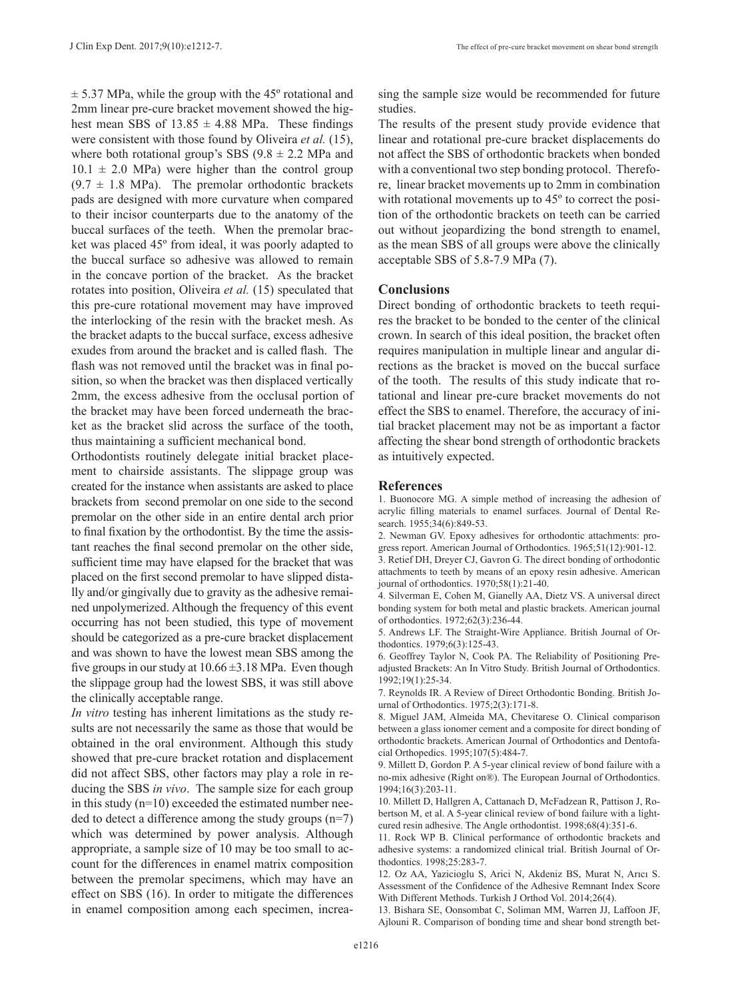$\pm$  5.37 MPa, while the group with the 45 $\degree$  rotational and 2mm linear pre-cure bracket movement showed the highest mean SBS of  $13.85 \pm 4.88$  MPa. These findings were consistent with those found by Oliveira *et al.* (15), where both rotational group's SBS  $(9.8 \pm 2.2 \text{ MPa}$  and  $10.1 \pm 2.0$  MPa) were higher than the control group  $(9.7 \pm 1.8 \text{ MPa})$ . The premolar orthodontic brackets pads are designed with more curvature when compared to their incisor counterparts due to the anatomy of the buccal surfaces of the teeth. When the premolar bracket was placed 45º from ideal, it was poorly adapted to the buccal surface so adhesive was allowed to remain in the concave portion of the bracket. As the bracket rotates into position, Oliveira *et al.* (15) speculated that this pre-cure rotational movement may have improved the interlocking of the resin with the bracket mesh. As the bracket adapts to the buccal surface, excess adhesive exudes from around the bracket and is called flash. The flash was not removed until the bracket was in final position, so when the bracket was then displaced vertically 2mm, the excess adhesive from the occlusal portion of the bracket may have been forced underneath the bracket as the bracket slid across the surface of the tooth,

thus maintaining a sufficient mechanical bond. Orthodontists routinely delegate initial bracket placement to chairside assistants. The slippage group was created for the instance when assistants are asked to place brackets from second premolar on one side to the second premolar on the other side in an entire dental arch prior to final fixation by the orthodontist. By the time the assistant reaches the final second premolar on the other side, sufficient time may have elapsed for the bracket that was placed on the first second premolar to have slipped distally and/or gingivally due to gravity as the adhesive remained unpolymerized. Although the frequency of this event occurring has not been studied, this type of movement should be categorized as a pre-cure bracket displacement and was shown to have the lowest mean SBS among the five groups in our study at  $10.66 \pm 3.18$  MPa. Even though the slippage group had the lowest SBS, it was still above the clinically acceptable range.

*In vitro* testing has inherent limitations as the study results are not necessarily the same as those that would be obtained in the oral environment. Although this study showed that pre-cure bracket rotation and displacement did not affect SBS, other factors may play a role in reducing the SBS *in vivo*. The sample size for each group in this study  $(n=10)$  exceeded the estimated number needed to detect a difference among the study groups (n=7) which was determined by power analysis. Although appropriate, a sample size of 10 may be too small to account for the differences in enamel matrix composition between the premolar specimens, which may have an effect on SBS (16). In order to mitigate the differences in enamel composition among each specimen, increasing the sample size would be recommended for future studies.

The results of the present study provide evidence that linear and rotational pre-cure bracket displacements do not affect the SBS of orthodontic brackets when bonded with a conventional two step bonding protocol. Therefore, linear bracket movements up to 2mm in combination with rotational movements up to  $45^{\circ}$  to correct the position of the orthodontic brackets on teeth can be carried out without jeopardizing the bond strength to enamel, as the mean SBS of all groups were above the clinically acceptable SBS of 5.8-7.9 MPa (7).

#### **Conclusions**

Direct bonding of orthodontic brackets to teeth requires the bracket to be bonded to the center of the clinical crown. In search of this ideal position, the bracket often requires manipulation in multiple linear and angular directions as the bracket is moved on the buccal surface of the tooth. The results of this study indicate that rotational and linear pre-cure bracket movements do not effect the SBS to enamel. Therefore, the accuracy of initial bracket placement may not be as important a factor affecting the shear bond strength of orthodontic brackets as intuitively expected.

#### **References**

1. Buonocore MG. A simple method of increasing the adhesion of acrylic filling materials to enamel surfaces. Journal of Dental Research. 1955;34(6):849-53.

2. Newman GV. Epoxy adhesives for orthodontic attachments: progress report. American Journal of Orthodontics. 1965;51(12):901-12.

3. Retief DH, Dreyer CJ, Gavron G. The direct bonding of orthodontic attachments to teeth by means of an epoxy resin adhesive. American journal of orthodontics. 1970;58(1):21-40.

4. Silverman E, Cohen M, Gianelly AA, Dietz VS. A universal direct bonding system for both metal and plastic brackets. American journal of orthodontics. 1972;62(3):236-44.

5. Andrews LF. The Straight-Wire Appliance. British Journal of Orthodontics. 1979;6(3):125-43.

6. Geoffrey Taylor N, Cook PA. The Reliability of Positioning Preadjusted Brackets: An In Vitro Study. British Journal of Orthodontics. 1992;19(1):25-34.

7. Reynolds IR. A Review of Direct Orthodontic Bonding. British Journal of Orthodontics. 1975;2(3):171-8.

8. Miguel JAM, Almeida MA, Chevitarese O. Clinical comparison between a glass ionomer cement and a composite for direct bonding of orthodontic brackets. American Journal of Orthodontics and Dentofacial Orthopedics. 1995;107(5):484-7.

9. Millett D, Gordon P. A 5-year clinical review of bond failure with a no-mix adhesive (Right on®). The European Journal of Orthodontics. 1994;16(3):203-11.

10. Millett D, Hallgren A, Cattanach D, McFadzean R, Pattison J, Robertson M, et al. A 5-year clinical review of bond failure with a lightcured resin adhesive. The Angle orthodontist. 1998;68(4):351-6.

11. Rock WP B. Clinical performance of orthodontic brackets and adhesive systems: a randomized clinical trial. British Journal of Orthodontics. 1998;25:283-7.

12. Oz AA, Yazicioglu S, Arici N, Akdeniz BS, Murat N, Arıcı S. Assessment of the Confidence of the Adhesive Remnant Index Score With Different Methods. Turkish J Orthod Vol. 2014;26(4).

13. Bishara SE, Oonsombat C, Soliman MM, Warren JJ, Laffoon JF, Ajlouni R. Comparison of bonding time and shear bond strength bet-